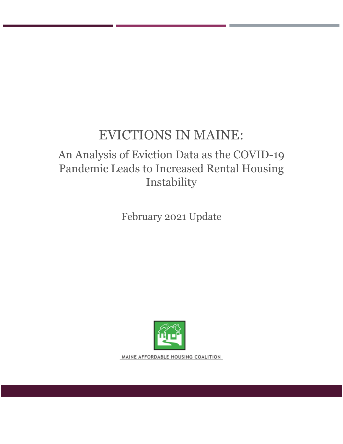# EVICTIONS IN MAINE:

## An Analysis of Eviction Data as the COVID-19 Pandemic Leads to Increased Rental Housing Instability

February 2021 Update



MAINE AFFORDABLE HOUSING COALITION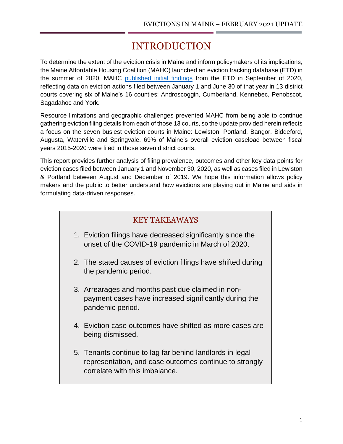## INTRODUCTION

To determine the extent of the eviction crisis in Maine and inform policymakers of its implications, the Maine Affordable Housing Coalition (MAHC) launched an eviction tracking database (ETD) in the summer of 2020. MAHC [published initial findings](https://mainehousingcoalition.org/wp-content/uploads/2020/09/Maine-Eviction-Report-FINAL-September-2020.pdf) from the ETD in September of 2020, reflecting data on eviction actions filed between January 1 and June 30 of that year in 13 district courts covering six of Maine's 16 counties: Androscoggin, Cumberland, Kennebec, Penobscot, Sagadahoc and York.

Resource limitations and geographic challenges prevented MAHC from being able to continue gathering eviction filing details from each of those 13 courts, so the update provided herein reflects a focus on the seven busiest eviction courts in Maine: Lewiston, Portland, Bangor, Biddeford, Augusta, Waterville and Springvale. 69% of Maine's overall eviction caseload between fiscal years 2015-2020 were filed in those seven district courts.

This report provides further analysis of filing prevalence, outcomes and other key data points for eviction cases filed between January 1 and November 30, 2020, as well as cases filed in Lewiston & Portland between August and December of 2019. We hope this information allows policy makers and the public to better understand how evictions are playing out in Maine and aids in formulating data-driven responses.

### KEY TAKEAWAYS

- 1. Eviction filings have decreased significantly since the onset of the COVID-19 pandemic in March of 2020.
- 2. The stated causes of eviction filings have shifted during the pandemic period.
- 3. Arrearages and months past due claimed in nonpayment cases have increased significantly during the pandemic period.
- 4. Eviction case outcomes have shifted as more cases are being dismissed.
- 5. Tenants continue to lag far behind landlords in legal representation, and case outcomes continue to strongly correlate with this imbalance.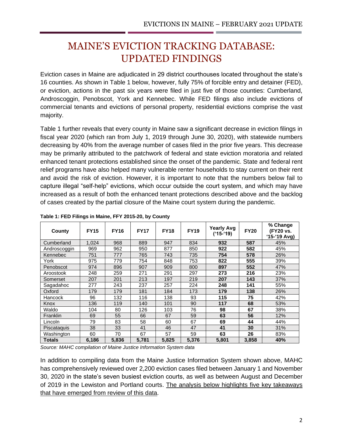## MAINE'S EVICTION TRACKING DATABASE: UPDATED FINDINGS

Eviction cases in Maine are adjudicated in 29 district courthouses located throughout the state's 16 counties. As shown in Table 1 below, however, fully 75% of forcible entry and detainer (FED), or eviction, actions in the past six years were filed in just five of those counties: Cumberland, Androscoggin, Penobscot, York and Kennebec. While FED filings also include evictions of commercial tenants and evictions of personal property, residential evictions comprise the vast majority.

Table 1 further reveals that every county in Maine saw a significant decrease in eviction filings in fiscal year 2020 (which ran from July 1, 2019 through June 30, 2020), with statewide numbers decreasing by 40% from the average number of cases filed in the prior five years. This decrease may be primarily attributed to the patchwork of federal and state eviction moratoria and related enhanced tenant protections established since the onset of the pandemic. State and federal rent relief programs have also helped many vulnerable renter households to stay current on their rent and avoid the risk of eviction. However, it is important to note that the numbers below fail to capture illegal "self-help" evictions, which occur outside the court system, and which may have increased as a result of both the enhanced tenant protections described above and the backlog of cases created by the partial closure of the Maine court system during the pandemic.

| County          | <b>FY15</b> | <b>FY16</b> | <b>FY17</b> | <b>FY18</b> | <b>FY19</b> | <b>Yearly Avg</b><br>$('15-'19)$ | <b>FY20</b> | % Change<br>(FY20 vs.<br>$(15-19$ Avg) |
|-----------------|-------------|-------------|-------------|-------------|-------------|----------------------------------|-------------|----------------------------------------|
| Cumberland      | 1,024       | 968         | 889         | 947         | 834         | 932                              | 587         | 45%                                    |
| Androscoggin    | 969         | 962         | 950         | 877         | 850         | 922                              | 582         | 45%                                    |
| Kennebec        | 751         | 777         | 765         | 743         | 735         | 754                              | 578         | 26%                                    |
| York            | 975         | 779         | 754         | 848         | 753         | 822                              | 555         | 39%                                    |
| Penobscot       | 974         | 896         | 907         | 909         | 800         | 897                              | 552         | 47%                                    |
| Aroostook       | 248         | 259         | 271         | 291         | 297         | 273                              | 216         | 23%                                    |
| Somerset        | 207         | 201         | 213         | 197         | 219         | 207                              | 143         | 37%                                    |
| Sagadahoc       | 277         | 243         | 237         | 257         | 224         | 248                              | 141         | 55%                                    |
| Oxford          | 179         | 179         | 181         | 184         | 173         | 179                              | 138         | 26%                                    |
| Hancock         | 96          | 132         | 116         | 138         | 93          | 115                              | 75          | 42%                                    |
| Knox            | 136         | 119         | 140         | 101         | 90          | 117                              | 68          | 53%                                    |
| Waldo           | 104         | 80          | 126         | 103         | 76          | 98                               | 67          | 38%                                    |
| <b>Franklin</b> | 69          | 55          | 66          | 67          | 59          | 63                               | 56          | 12%                                    |
| Lincoln         | 79          | 83          | 58          | 60          | 67          | 69                               | 44          | 44%                                    |
| Piscataquis     | 38          | 33          | 41          | 46          | 47          | 41                               | 30          | 31%                                    |
| Washington      | 60          | 70          | 67          | 57          | 59          | 63                               | 26          | 83%                                    |
| <b>Totals</b>   | 6,186       | 5,836       | 5,781       | 5,825       | 5,376       | 5,801                            | 3,858       | 40%                                    |

**Table 1: FED Filings in Maine, FFY 2015-20, by County**

*Source: MAHC compilation of Maine Justice Information System data*

In addition to compiling data from the Maine Justice Information System shown above, MAHC has comprehensively reviewed over 2,200 eviction cases filed between January 1 and November 30, 2020 in the state's seven busiest eviction courts, as well as between August and December of 2019 in the Lewiston and Portland courts. The analysis below highlights five key takeaways that have emerged from review of this data.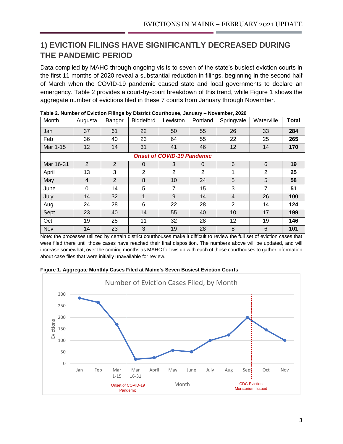### **1) EVICTION FILINGS HAVE SIGNIFICANTLY DECREASED DURING THE PANDEMIC PERIOD**

Data compiled by MAHC through ongoing visits to seven of the state's busiest eviction courts in the first 11 months of 2020 reveal a substantial reduction in filings, beginning in the second half of March when the COVID-19 pandemic caused state and local governments to declare an emergency. Table 2 provides a court-by-court breakdown of this trend, while Figure 1 shows the aggregate number of evictions filed in these 7 courts from January through November.

| Month     | Augusta        | Bangor         | <b>Biddeford</b> | Lewiston                          | Portland       | Springvale     | Waterville     | <b>Total</b> |
|-----------|----------------|----------------|------------------|-----------------------------------|----------------|----------------|----------------|--------------|
| Jan       | 37             | 61             | 22               | 50                                | 55             | 26             | 33             | 284          |
| Feb       | 36             | 40             | 23               | 64                                | 55             | 22             | 25             | 265          |
| Mar 1-15  | 12             | 14             | 31               | 41                                | 46             | 12             | 14             | 170          |
|           |                |                |                  | <b>Onset of COVID-19 Pandemic</b> |                |                |                |              |
| Mar 16-31 | $\overline{2}$ | $\overline{2}$ | $\Omega$         | 3                                 | $\Omega$       | 6              | 6              | 19           |
| April     | 13             | 3              | 2                | 2                                 | $\overline{2}$ | 1              | $\overline{2}$ | 25           |
| May       | 4              | $\overline{2}$ | 8                | 10                                | 24             | 5              | 5              | 58           |
| June      | $\Omega$       | 14             | 5                | $\overline{7}$                    | 15             | 3              | 7              | 51           |
| July      | 14             | 32             | $\mathbf 1$      | 9                                 | 14             | $\overline{4}$ | 26             | 100          |
| Aug       | 24             | 28             | 6                | 22                                | 28             | $\overline{2}$ | 14             | 124          |
| Sept      | 23             | 40             | 14               | 55                                | 40             | 10             | 17             | 199          |
| Oct       | 19             | 25             | 11               | 32                                | 28             | 12             | 19             | 146          |
| Nov       | 14             | 23             | 3                | 19                                | 28             | 8              | 6              | 101          |

| Table 2. Number of Eviction Filings by District Courthouse, January - November, 2020 |  |  |
|--------------------------------------------------------------------------------------|--|--|
|--------------------------------------------------------------------------------------|--|--|

Note: the processes utilized by certain district courthouses make it difficult to review the full set of eviction cases that were filed there until those cases have reached their final disposition. The numbers above will be updated, and will increase somewhat, over the coming months as MAHC follows up with each of those courthouses to gather information about case files that were initially unavailable for review.



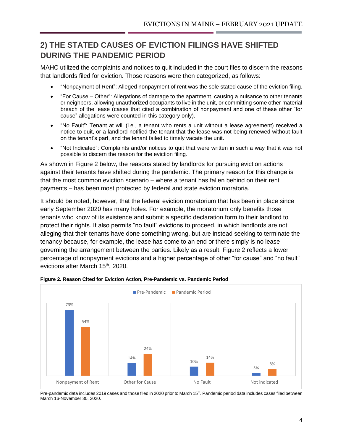### **2) THE STATED CAUSES OF EVICTION FILINGS HAVE SHIFTED DURING THE PANDEMIC PERIOD**

MAHC utilized the complaints and notices to quit included in the court files to discern the reasons that landlords filed for eviction. Those reasons were then categorized, as follows:

- "Nonpayment of Rent": Alleged nonpayment of rent was the sole stated cause of the eviction filing.
- "For Cause Other": Allegations of damage to the apartment, causing a nuisance to other tenants or neighbors, allowing unauthorized occupants to live in the unit, or committing some other material breach of the lease (cases that cited a combination of nonpayment and one of these other "for cause" allegations were counted in this category only).
- "No Fault": Tenant at will (i.e., a tenant who rents a unit without a lease agreement) received a notice to quit, or a landlord notified the tenant that the lease was not being renewed without fault on the tenant's part, and the tenant failed to timely vacate the unit.
- "Not Indicated": Complaints and/or notices to quit that were written in such a way that it was not possible to discern the reason for the eviction filing.

As shown in Figure 2 below, the reasons stated by landlords for pursuing eviction actions against their tenants have shifted during the pandemic. The primary reason for this change is that the most common eviction scenario – where a tenant has fallen behind on their rent payments – has been most protected by federal and state eviction moratoria.

It should be noted, however, that the federal eviction moratorium that has been in place since early September 2020 has many holes. For example, the moratorium only benefits those tenants who know of its existence and submit a specific declaration form to their landlord to protect their rights. It also permits "no fault" evictions to proceed, in which landlords are not alleging that their tenants have done something wrong, but are instead seeking to terminate the tenancy because, for example, the lease has come to an end or there simply is no lease governing the arrangement between the parties. Likely as a result, Figure 2 reflects a lower percentage of nonpayment evictions and a higher percentage of other "for cause" and "no fault" evictions after March 15<sup>th</sup>, 2020.





Pre-pandemic data includes 2019 cases and those filed in 2020 prior to March 15<sup>th</sup>. Pandemic period data includes cases filed between March 16-November 30, 2020.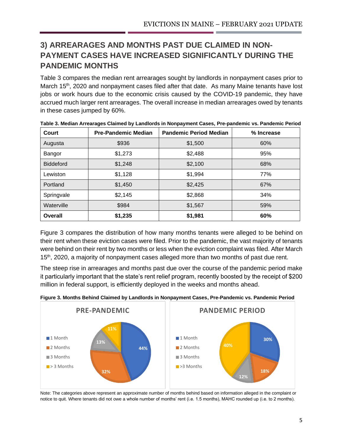## **3) ARREARAGES AND MONTHS PAST DUE CLAIMED IN NON-PAYMENT CASES HAVE INCREASED SIGNIFICANTLY DURING THE PANDEMIC MONTHS**

Table 3 compares the median rent arrearages sought by landlords in nonpayment cases prior to March 15<sup>th</sup>, 2020 and nonpayment cases filed after that date. As many Maine tenants have lost jobs or work hours due to the economic crisis caused by the COVID-19 pandemic, they have accrued much larger rent arrearages. The overall increase in median arrearages owed by tenants in these cases jumped by 60%.

| Court            | <b>Pre-Pandemic Median</b> | <b>Pandemic Period Median</b> | % Increase |
|------------------|----------------------------|-------------------------------|------------|
| Augusta          | \$936                      | \$1,500                       | 60%        |
| Bangor           | \$1,273                    | \$2,488                       | 95%        |
| <b>Biddeford</b> | \$1,248                    | \$2,100                       | 68%        |
| Lewiston         | \$1,128                    | \$1,994                       | 77%        |
| Portland         | \$1,450                    | \$2,425                       | 67%        |
| Springvale       | \$2,145                    | \$2,868                       | 34%        |
| Waterville       | \$984                      | \$1,567                       | 59%        |
| <b>Overall</b>   | \$1,235                    | \$1,981                       | 60%        |

|  | Table 3. Median Arrearages Claimed by Landlords in Nonpayment Cases, Pre-pandemic vs. Pandemic Period |  |  |
|--|-------------------------------------------------------------------------------------------------------|--|--|
|  |                                                                                                       |  |  |

Figure 3 compares the distribution of how many months tenants were alleged to be behind on their rent when these eviction cases were filed. Prior to the pandemic, the vast majority of tenants were behind on their rent by two months or less when the eviction complaint was filed. After March 15<sup>th</sup>, 2020, a majority of nonpayment cases alleged more than two months of past due rent.

The steep rise in arrearages and months past due over the course of the pandemic period make it particularly important that the state's rent relief program, recently boosted by the receipt of \$200 million in federal support, is efficiently deployed in the weeks and months ahead.



**Figure 3. Months Behind Claimed by Landlords in Nonpayment Cases, Pre-Pandemic vs. Pandemic Period**

Note: The categories above represent an approximate number of months behind based on information alleged in the complaint or notice to quit. Where tenants did not owe a whole number of months' rent (i.e. 1.5 months), MAHC rounded up (i.e. to 2 months).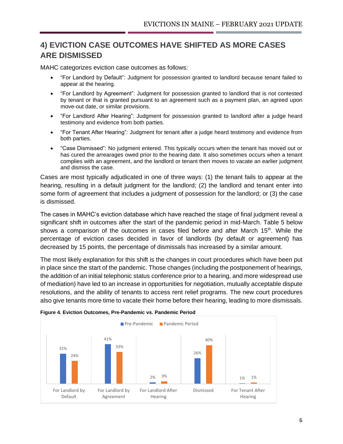### **4) EVICTION CASE OUTCOMES HAVE SHIFTED AS MORE CASES ARE DISMISSED**

MAHC categorizes eviction case outcomes as follows:

- "For Landlord by Default": Judgment for possession granted to landlord because tenant failed to appear at the hearing.
- "For Landlord by Agreement": Judgment for possession granted to landlord that is not contested by tenant or that is granted pursuant to an agreement such as a payment plan, an agreed upon move-out date, or similar provisions.
- "For Landlord After Hearing": Judgment for possession granted to landlord after a judge heard testimony and evidence from both parties.
- "For Tenant After Hearing": Judgment for tenant after a judge heard testimony and evidence from both parties.
- "Case Dismissed": No judgment entered. This typically occurs when the tenant has moved out or has cured the arrearages owed prior to the hearing date. It also sometimes occurs when a tenant complies with an agreement, and the landlord or tenant then moves to vacate an earlier judgment and dismiss the case.

Cases are most typically adjudicated in one of three ways: (1) the tenant fails to appear at the hearing, resulting in a default judgment for the landlord; (2) the landlord and tenant enter into some form of agreement that includes a judgment of possession for the landlord; or (3) the case is dismissed.

The cases in MAHC's eviction database which have reached the stage of final judgment reveal a significant shift in outcomes after the start of the pandemic period in mid-March. Table 5 below shows a comparison of the outcomes in cases filed before and after March 15<sup>th</sup>. While the percentage of eviction cases decided in favor of landlords (by default or agreement) has decreased by 15 points, the percentage of dismissals has increased by a similar amount.

The most likely explanation for this shift is the changes in court procedures which have been put in place since the start of the pandemic. Those changes (including the postponement of hearings, the addition of an initial telephonic status conference prior to a hearing, and more widespread use of mediation) have led to an increase in opportunities for negotiation, mutually acceptable dispute resolutions, and the ability of tenants to access rent relief programs. The new court procedures also give tenants more time to vacate their home before their hearing, leading to more dismissals.



#### **Figure 4. Eviction Outcomes, Pre-Pandemic vs. Pandemic Period**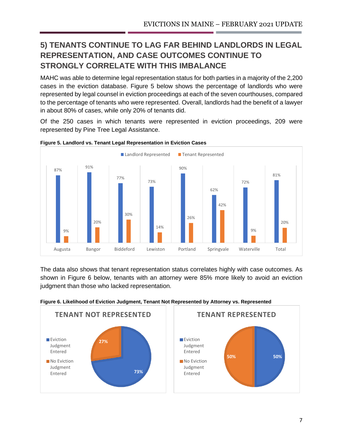## **5) TENANTS CONTINUE TO LAG FAR BEHIND LANDLORDS IN LEGAL REPRESENTATION, AND CASE OUTCOMES CONTINUE TO STRONGLY CORRELATE WITH THIS IMBALANCE**

MAHC was able to determine legal representation status for both parties in a majority of the 2,200 cases in the eviction database. Figure 5 below shows the percentage of landlords who were represented by legal counsel in eviction proceedings at each of the seven courthouses, compared to the percentage of tenants who were represented. Overall, landlords had the benefit of a lawyer in about 80% of cases, while only 20% of tenants did.

Of the 250 cases in which tenants were represented in eviction proceedings, 209 were represented by Pine Tree Legal Assistance.



#### **Figure 5. Landlord vs. Tenant Legal Representation in Eviction Cases**

The data also shows that tenant representation status correlates highly with case outcomes. As shown in Figure 6 below, tenants with an attorney were 85% more likely to avoid an eviction judgment than those who lacked representation.



#### **Figure 6. Likelihood of Eviction Judgment, Tenant Not Represented by Attorney vs. Represented**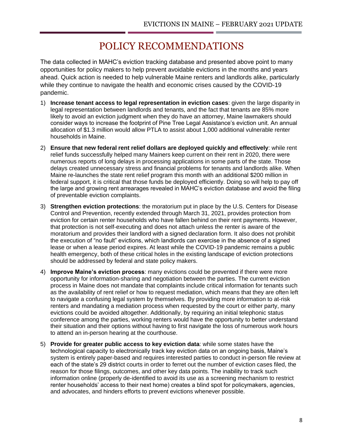## POLICY RECOMMENDATIONS

The data collected in MAHC's eviction tracking database and presented above point to many opportunities for policy makers to help prevent avoidable evictions in the months and years ahead. Quick action is needed to help vulnerable Maine renters and landlords alike, particularly while they continue to navigate the health and economic crises caused by the COVID-19 pandemic.

- 1) **Increase tenant access to legal representation in eviction cases**: given the large disparity in legal representation between landlords and tenants, and the fact that tenants are 85% more likely to avoid an eviction judgment when they do have an attorney, Maine lawmakers should consider ways to increase the footprint of Pine Tree Legal Assistance's eviction unit. An annual allocation of \$1.3 million would allow PTLA to assist about 1,000 additional vulnerable renter households in Maine.
- 2) **Ensure that new federal rent relief dollars are deployed quickly and effectively**: while rent relief funds successfully helped many Mainers keep current on their rent in 2020, there were numerous reports of long delays in processing applications in some parts of the state. Those delays created unnecessary stress and financial problems for tenants and landlords alike. When Maine re-launches the state rent relief program this month with an additional \$200 million in federal support, it is critical that those funds be deployed efficiently. Doing so will help to pay off the large and growing rent arrearages revealed in MAHC's eviction database and avoid the filing of preventable eviction complaints.
- 3) **Strengthen eviction protections**: the moratorium put in place by the U.S. Centers for Disease Control and Prevention, recently extended through March 31, 2021, provides protection from eviction for certain renter households who have fallen behind on their rent payments. However, that protection is not self-executing and does not attach unless the renter is aware of the moratorium and provides their landlord with a signed declaration form. It also does not prohibit the execution of "no fault" evictions, which landlords can exercise in the absence of a signed lease or when a lease period expires. At least while the COVID-19 pandemic remains a public health emergency, both of these critical holes in the existing landscape of eviction protections should be addressed by federal and state policy makers.
- 4) **Improve Maine's eviction process**: many evictions could be prevented if there were more opportunity for information-sharing and negotiation between the parties. The current eviction process in Maine does not mandate that complaints include critical information for tenants such as the availability of rent relief or how to request mediation, which means that they are often left to navigate a confusing legal system by themselves. By providing more information to at-risk renters and mandating a mediation process when requested by the court or either party, many evictions could be avoided altogether. Additionally, by requiring an initial telephonic status conference among the parties, working renters would have the opportunity to better understand their situation and their options without having to first navigate the loss of numerous work hours to attend an in-person hearing at the courthouse.
- 5) **Provide for greater public access to key eviction data**: while some states have the technological capacity to electronically track key eviction data on an ongoing basis, Maine's system is entirely paper-based and requires interested parties to conduct in-person file review at each of the state's 29 district courts in order to ferret out the number of eviction cases filed, the reason for those filings, outcomes, and other key data points. The inability to track such information online (properly de-identified to avoid its use as a screening mechanism to restrict renter households' access to their next home) creates a blind spot for policymakers, agencies, and advocates, and hinders efforts to prevent evictions whenever possible.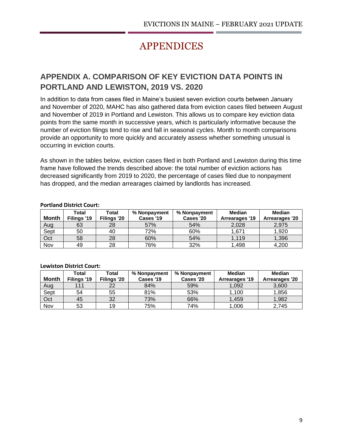## APPENDICES

## **APPENDIX A. COMPARISON OF KEY EVICTION DATA POINTS IN PORTLAND AND LEWISTON, 2019 VS. 2020**

In addition to data from cases filed in Maine's busiest seven eviction courts between January and November of 2020, MAHC has also gathered data from eviction cases filed between August and November of 2019 in Portland and Lewiston. This allows us to compare key eviction data points from the same month in successive years, which is particularly informative because the number of eviction filings tend to rise and fall in seasonal cycles. Month to month comparisons provide an opportunity to more quickly and accurately assess whether something unusual is occurring in eviction courts.

As shown in the tables below, eviction cases filed in both Portland and Lewiston during this time frame have followed the trends described above: the total number of eviction actions has decreased significantly from 2019 to 2020, the percentage of cases filed due to nonpayment has dropped, and the median arrearages claimed by landlords has increased.

| <b>Month</b> | Total<br>Filings '19 | Total<br>Filings '20 | % Nonpayment<br>Cases '19 | % Nonpayment<br>Cases '20 | Median<br><b>Arrearages '19</b> | <b>Median</b><br>Arrearages '20 |  |  |  |
|--------------|----------------------|----------------------|---------------------------|---------------------------|---------------------------------|---------------------------------|--|--|--|
| Aug          | 63                   | 28                   | 57%                       | 54%                       | 2,028                           | 2,975                           |  |  |  |
| Sept         | 50                   | 40                   | 72%                       | 60%                       | 1,671                           | 1,920                           |  |  |  |
| Oct          | 58                   | 28                   | 60%                       | 54%                       | 1.119                           | 1,396                           |  |  |  |
| Nov          | 49                   | 28                   | 76%                       | 32%                       | 1,498                           | 4,200                           |  |  |  |

#### **Portland District Court:**

#### **Lewiston District Court:**

|       | Total       | Total       | % Nonpayment | % Nonpayment | Median         | Median         |
|-------|-------------|-------------|--------------|--------------|----------------|----------------|
| Month | Filings '19 | Filings '20 | Cases '19    | Cases '20    | Arrearages '19 | Arrearages '20 |
| Aug   | 111         | 22          | 84%          | 59%          | 1,092          | 3,600          |
| Sept  | 54          | 55          | 81%          | 53%          | 1,100          | 1.856          |
| Oct   | 45          | 32          | 73%          | 66%          | 1.459          | 1,982          |
| Nov   | 53          | 19          | 75%          | 74%          | 1,006          | 2.745          |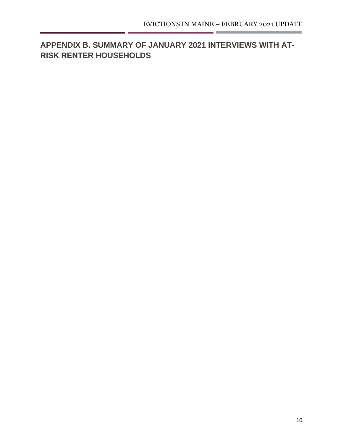## **APPENDIX B. SUMMARY OF JANUARY 2021 INTERVIEWS WITH AT-RISK RENTER HOUSEHOLDS**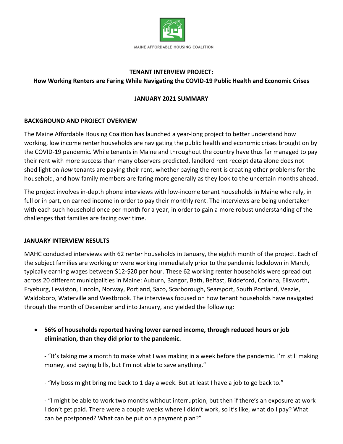

### **TENANT INTERVIEW PROJECT:**

### **How Working Renters are Faring While Navigating the COVID-19 Public Health and Economic Crises**

### **JANUARY 2021 SUMMARY**

### **BACKGROUND AND PROJECT OVERVIEW**

The Maine Affordable Housing Coalition has launched a year-long project to better understand how working, low income renter households are navigating the public health and economic crises brought on by the COVID-19 pandemic. While tenants in Maine and throughout the country have thus far managed to pay their rent with more success than many observers predicted, landlord rent receipt data alone does not shed light on *how* tenants are paying their rent, whether paying the rent is creating other problems for the household, and how family members are faring more generally as they look to the uncertain months ahead.

The project involves in-depth phone interviews with low-income tenant households in Maine who rely, in full or in part, on earned income in order to pay their monthly rent. The interviews are being undertaken with each such household once per month for a year, in order to gain a more robust understanding of the challenges that families are facing over time.

### **JANUARY INTERVIEW RESULTS**

MAHC conducted interviews with 62 renter households in January, the eighth month of the project. Each of the subject families are working or were working immediately prior to the pandemic lockdown in March, typically earning wages between \$12-\$20 per hour. These 62 working renter households were spread out across 20 different municipalities in Maine: Auburn, Bangor, Bath, Belfast, Biddeford, Corinna, Ellsworth, Fryeburg, Lewiston, Lincoln, Norway, Portland, Saco, Scarborough, Searsport, South Portland, Veazie, Waldoboro, Waterville and Westbrook. The interviews focused on how tenant households have navigated through the month of December and into January, and yielded the following:

• **56% of households reported having lower earned income, through reduced hours or job elimination, than they did prior to the pandemic.** 

- "It's taking me a month to make what I was making in a week before the pandemic. I'm still making money, and paying bills, but I'm not able to save anything."

- "My boss might bring me back to 1 day a week. But at least I have a job to go back to."

- "I might be able to work two months without interruption, but then if there's an exposure at work I don't get paid. There were a couple weeks where I didn't work, so it's like, what do I pay? What can be postponed? What can be put on a payment plan?"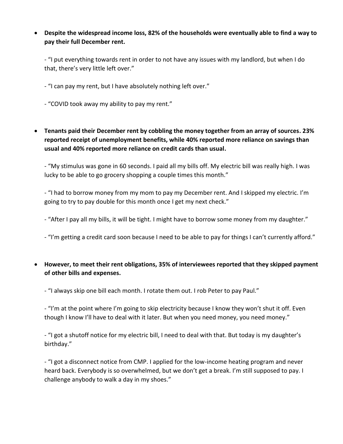• **Despite the widespread income loss, 82% of the households were eventually able to find a way to pay their full December rent.**

- "I put everything towards rent in order to not have any issues with my landlord, but when I do that, there's very little left over."

- "I can pay my rent, but I have absolutely nothing left over."
- "COVID took away my ability to pay my rent."
- **Tenants paid their December rent by cobbling the money together from an array of sources. 23% reported receipt of unemployment benefits, while 40% reported more reliance on savings than usual and 40% reported more reliance on credit cards than usual.**

- "My stimulus was gone in 60 seconds. I paid all my bills off. My electric bill was really high. I was lucky to be able to go grocery shopping a couple times this month."

- "I had to borrow money from my mom to pay my December rent. And I skipped my electric. I'm going to try to pay double for this month once I get my next check."

- "After I pay all my bills, it will be tight. I might have to borrow some money from my daughter."

- "I'm getting a credit card soon because I need to be able to pay for things I can't currently afford."

• **However, to meet their rent obligations, 35% of interviewees reported that they skipped payment of other bills and expenses.**

- "I always skip one bill each month. I rotate them out. I rob Peter to pay Paul."

- "I'm at the point where I'm going to skip electricity because I know they won't shut it off. Even though I know I'll have to deal with it later. But when you need money, you need money."

- "I got a shutoff notice for my electric bill, I need to deal with that. But today is my daughter's birthday."

- "I got a disconnect notice from CMP. I applied for the low-income heating program and never heard back. Everybody is so overwhelmed, but we don't get a break. I'm still supposed to pay. I challenge anybody to walk a day in my shoes."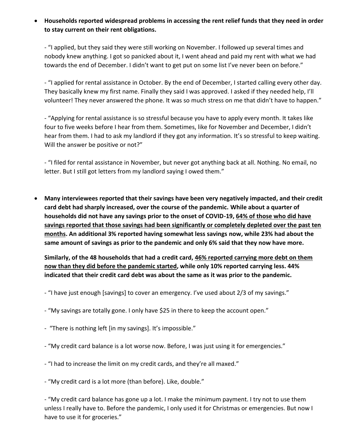• **Households reported widespread problems in accessing the rent relief funds that they need in order to stay current on their rent obligations.**

- "I applied, but they said they were still working on November. I followed up several times and nobody knew anything. I got so panicked about it, I went ahead and paid my rent with what we had towards the end of December. I didn't want to get put on some list I've never been on before."

- "I applied for rental assistance in October. By the end of December, I started calling every other day. They basically knew my first name. Finally they said I was approved. I asked if they needed help, I'll volunteer! They never answered the phone. It was so much stress on me that didn't have to happen."

- "Applying for rental assistance is so stressful because you have to apply every month. It takes like four to five weeks before I hear from them. Sometimes, like for November and December, I didn't hear from them. I had to ask my landlord if they got any information. It's so stressful to keep waiting. Will the answer be positive or not?"

- "I filed for rental assistance in November, but never got anything back at all. Nothing. No email, no letter. But I still got letters from my landlord saying I owed them."

• **Many interviewees reported that their savings have been very negatively impacted, and their credit card debt had sharply increased, over the course of the pandemic. While about a quarter of households did not have any savings prior to the onset of COVID-19, 64% of those who did have savings reported that those savings had been significantly or completely depleted over the past ten months. An additional 3% reported having somewhat less savings now, while 23% had about the same amount of savings as prior to the pandemic and only 6% said that they now have more.**

**Similarly, of the 48 households that had a credit card, 46% reported carrying more debt on them now than they did before the pandemic started, while only 10% reported carrying less. 44% indicated that their credit card debt was about the same as it was prior to the pandemic.**

- "I have just enough [savings] to cover an emergency. I've used about 2/3 of my savings."
- "My savings are totally gone. I only have \$25 in there to keep the account open."
- "There is nothing left [in my savings]. It's impossible."
- "My credit card balance is a lot worse now. Before, I was just using it for emergencies."
- "I had to increase the limit on my credit cards, and they're all maxed."
- "My credit card is a lot more (than before). Like, double."

- "My credit card balance has gone up a lot. I make the minimum payment. I try not to use them unless I really have to. Before the pandemic, I only used it for Christmas or emergencies. But now I have to use it for groceries."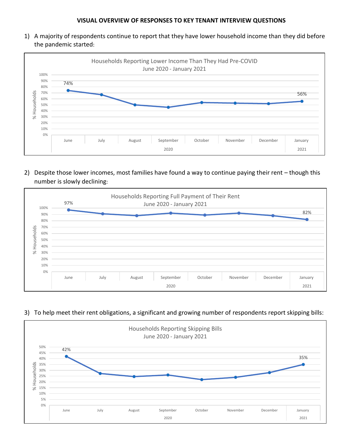1) A majority of respondents continue to report that they have lower household income than they did before the pandemic started:



2) Despite those lower incomes, most families have found a way to continue paying their rent – though this number is slowly declining:



### 3) To help meet their rent obligations, a significant and growing number of respondents report skipping bills: